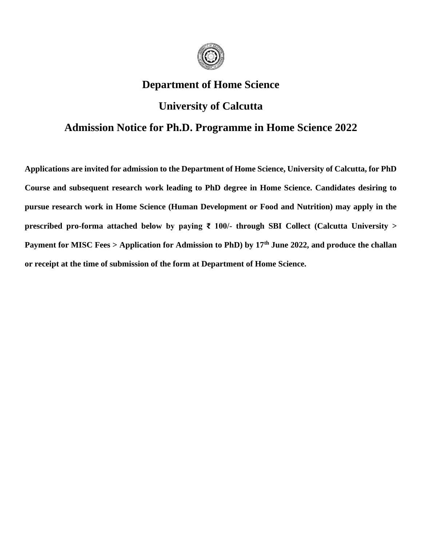

### **Department of Home Science**

# **University of Calcutta**

## **Admission Notice for Ph.D. Programme in Home Science 2022**

**Applications are invited for admission to the Department of Home Science, University of Calcutta, for PhD Course and subsequent research work leading to PhD degree in Home Science. Candidates desiring to pursue research work in Home Science (Human Development or Food and Nutrition) may apply in the prescribed pro-forma attached below by paying ₹ 100/- through SBI Collect (Calcutta University > Payment for MISC Fees > Application for Admission to PhD) by 17th June 2022, and produce the challan or receipt at the time of submission of the form at Department of Home Science.**